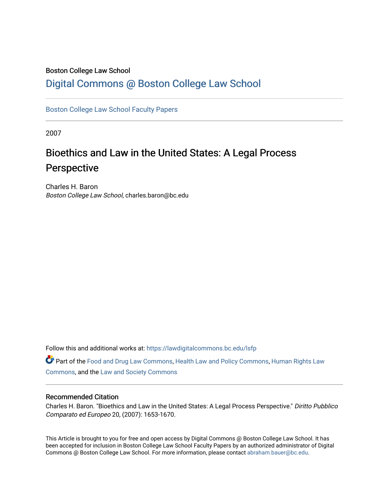# Boston College Law School

# [Digital Commons @ Boston College Law School](https://lawdigitalcommons.bc.edu/)

# [Boston College Law School Faculty Papers](https://lawdigitalcommons.bc.edu/lsfp)

2007

# Bioethics and Law in the United States: A Legal Process Perspective

Charles H. Baron Boston College Law School, charles.baron@bc.edu

Follow this and additional works at: [https://lawdigitalcommons.bc.edu/lsfp](https://lawdigitalcommons.bc.edu/lsfp?utm_source=lawdigitalcommons.bc.edu%2Flsfp%2F326&utm_medium=PDF&utm_campaign=PDFCoverPages) 

Part of the [Food and Drug Law Commons,](http://network.bepress.com/hgg/discipline/844?utm_source=lawdigitalcommons.bc.edu%2Flsfp%2F326&utm_medium=PDF&utm_campaign=PDFCoverPages) [Health Law and Policy Commons,](http://network.bepress.com/hgg/discipline/901?utm_source=lawdigitalcommons.bc.edu%2Flsfp%2F326&utm_medium=PDF&utm_campaign=PDFCoverPages) [Human Rights Law](http://network.bepress.com/hgg/discipline/847?utm_source=lawdigitalcommons.bc.edu%2Flsfp%2F326&utm_medium=PDF&utm_campaign=PDFCoverPages) [Commons](http://network.bepress.com/hgg/discipline/847?utm_source=lawdigitalcommons.bc.edu%2Flsfp%2F326&utm_medium=PDF&utm_campaign=PDFCoverPages), and the [Law and Society Commons](http://network.bepress.com/hgg/discipline/853?utm_source=lawdigitalcommons.bc.edu%2Flsfp%2F326&utm_medium=PDF&utm_campaign=PDFCoverPages)

### Recommended Citation

Charles H. Baron. "Bioethics and Law in the United States: A Legal Process Perspective." Diritto Pubblico Comparato ed Europeo 20, (2007): 1653-1670.

This Article is brought to you for free and open access by Digital Commons @ Boston College Law School. It has been accepted for inclusion in Boston College Law School Faculty Papers by an authorized administrator of Digital Commons @ Boston College Law School. For more information, please contact [abraham.bauer@bc.edu.](mailto:abraham.bauer@bc.edu)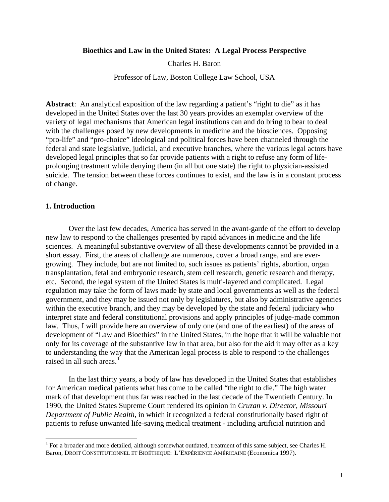#### **Bioethics and Law in the United States: A Legal Process Perspective**

Charles H. Baron

Professor of Law, Boston College Law School, USA

Abstract: An analytical exposition of the law regarding a patient's "right to die" as it has developed in the United States over the last 30 years provides an exemplar overview of the variety of legal mechanisms that American legal institutions can and do bring to bear to deal with the challenges posed by new developments in medicine and the biosciences. Opposing "pro-life" and "pro-choice" ideological and political forces have been channeled through the federal and state legislative, judicial, and executive branches, where the various legal actors have developed legal principles that so far provide patients with a right to refuse any form of lifeprolonging treatment while denying them (in all but one state) the right to physician-assisted suicide. The tension between these forces continues to exist, and the law is in a constant process of change.

# **1. Introduction**

 Over the last few decades, America has served in the avant-garde of the effort to develop new law to respond to the challenges presented by rapid advances in medicine and the life sciences. A meaningful substantive overview of all these developments cannot be provided in a short essay. First, the areas of challenge are numerous, cover a broad range, and are evergrowing. They include, but are not limited to, such issues as patients' rights, abortion, organ transplantation, fetal and embryonic research, stem cell research, genetic research and therapy, etc. Second, the legal system of the United States is multi-layered and complicated. Legal regulation may take the form of laws made by state and local governments as well as the federal government, and they may be issued not only by legislatures, but also by administrative agencies within the executive branch, and they may be developed by the state and federal judiciary who interpret state and federal constitutional provisions and apply principles of judge-made common law. Thus, I will provide here an overview of only one (and one of the earliest) of the areas of development of "Law and Bioethics" in the United States, in the hope that it will be valuable not only for its coverage of the substantive law in that area, but also for the aid it may offer as a key to understanding the way that the American legal process is able to respond to the challenges raised in all such areas.<sup>[1](#page-1-0)</sup>

In the last thirty years, a body of law has developed in the United States that establishes for American medical patients what has come to be called "the right to die." The high water mark of that development thus far was reached in the last decade of the Twentieth Century. In 1990, the United States Supreme Court rendered its opinion in *Cruzan v. Director, Missouri Department of Public Health,* in which it recognized a federal constitutionally based right of patients to refuse unwanted life-saving medical treatment - including artificial nutrition and

<span id="page-1-0"></span><sup>&</sup>lt;sup>1</sup> For a broader and more detailed, although somewhat outdated, treatment of this same subject, see Charles H. Baron, DROIT CONSTITUTIONNEL ET BIOÉTHIQUE: L'EXPÉRIENCE AMÉRICAINE (Economica 1997).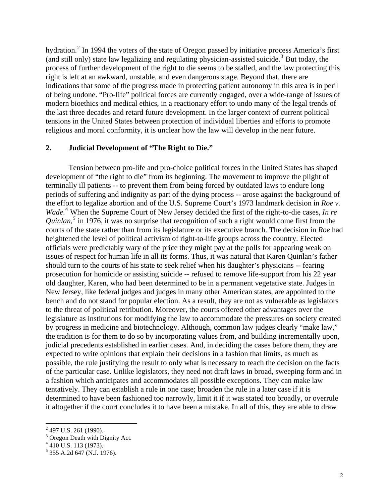hydration.<sup>[2](#page-2-0)</sup> In 1994 the voters of the state of Oregon passed by initiative process America's first (and still only) state law legalizing and regulating physician-assisted suicide.<sup>[3](#page-2-1)</sup> But today, the process of further development of the right to die seems to be stalled, and the law protecting this right is left at an awkward, unstable, and even dangerous stage. Beyond that, there are indications that some of the progress made in protecting patient autonomy in this area is in peril of being undone. "Pro-life" political forces are currently engaged, over a wide-range of issues of modern bioethics and medical ethics, in a reactionary effort to undo many of the legal trends of the last three decades and retard future development. In the larger context of current political tensions in the United States between protection of individual liberties and efforts to promote religious and moral conformity, it is unclear how the law will develop in the near future.

# **2. Judicial Development of "The Right to Die."**

 Tension between pro-life and pro-choice political forces in the United States has shaped development of "the right to die" from its beginning. The movement to improve the plight of terminally ill patients -- to prevent them from being forced by outdated laws to endure long periods of suffering and indignity as part of the dying process -- arose against the background of the effort to legalize abortion and of the U.S. Supreme Court's 1973 landmark decision in *Roe v.*  Wade.<sup>[4](#page-2-2)</sup> When the Supreme Court of New Jersey decided the first of the right-to-die cases, *In re Quinlan*,<sup>[5](#page-2-3)</sup> in 1976, it was no surprise that recognition of such a right would come first from the courts of the state rather than from its legislature or its executive branch. The decision in *Roe* had heightened the level of political activism of right-to-life groups across the country. Elected officials were predictably wary of the price they might pay at the polls for appearing weak on issues of respect for human life in all its forms. Thus, it was natural that Karen Quinlan's father should turn to the courts of his state to seek relief when his daughter's physicians -- fearing prosecution for homicide or assisting suicide -- refused to remove life-support from his 22 year old daughter, Karen, who had been determined to be in a permanent vegetative state. Judges in New Jersey, like federal judges and judges in many other American states, are appointed to the bench and do not stand for popular election. As a result, they are not as vulnerable as legislators to the threat of political retribution. Moreover, the courts offered other advantages over the legislature as institutions for modifying the law to accommodate the pressures on society created by progress in medicine and biotechnology. Although, common law judges clearly "make law," the tradition is for them to do so by incorporating values from, and building incrementally upon, judicial precedents established in earlier cases. And, in deciding the cases before them, they are expected to write opinions that explain their decisions in a fashion that limits, as much as possible, the rule justifying the result to only what is necessary to reach the decision on the facts of the particular case. Unlike legislators, they need not draft laws in broad, sweeping form and in a fashion which anticipates and accommodates all possible exceptions. They can make law tentatively. They can establish a rule in one case; broaden the rule in a later case if it is determined to have been fashioned too narrowly, limit it if it was stated too broadly, or overrule it altogether if the court concludes it to have been a mistake. In all of this, they are able to draw

<span id="page-2-0"></span><sup>&</sup>lt;sup>2</sup> 497 U.S. 261 (1990).

<span id="page-2-1"></span><sup>&</sup>lt;sup>3</sup> Oregon Death with Dignity Act.

<span id="page-2-2"></span> $4410$  U.S. 113 (1973).

<span id="page-2-3"></span><sup>5</sup> 355 A.2d 647 (N.J. 1976).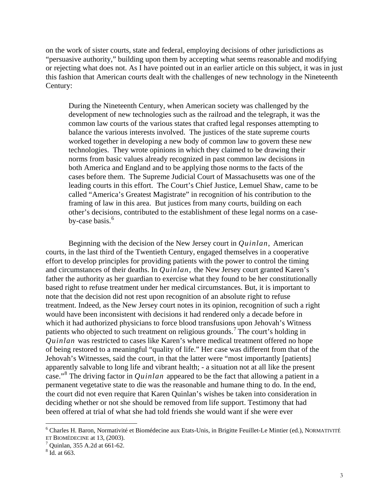on the work of sister courts, state and federal, employing decisions of other jurisdictions as "persuasive authority," building upon them by accepting what seems reasonable and modifying or rejecting what does not. As I have pointed out in an earlier article on this subject, it was in just this fashion that American courts dealt with the challenges of new technology in the Nineteenth Century:

During the Nineteenth Century, when American society was challenged by the development of new technologies such as the railroad and the telegraph, it was the common law courts of the various states that crafted legal responses attempting to balance the various interests involved. The justices of the state supreme courts worked together in developing a new body of common law to govern these new technologies. They wrote opinions in which they claimed to be drawing their norms from basic values already recognized in past common law decisions in both America and England and to be applying those norms to the facts of the cases before them. The Supreme Judicial Court of Massachusetts was one of the leading courts in this effort. The Court's Chief Justice, Lemuel Shaw, came to be called "America's Greatest Magistrate" in recognition of his contribution to the framing of law in this area. But justices from many courts, building on each other's decisions, contributed to the establishment of these legal norms on a caseby-case basis. $<sup>6</sup>$  $<sup>6</sup>$  $<sup>6</sup>$ </sup>

 Beginning with the decision of the New Jersey court in *Quinlan*, American courts, in the last third of the Twentieth Century, engaged themselves in a cooperative effort to develop principles for providing patients with the power to control the timing and circumstances of their deaths. In *Quinlan*, the New Jersey court granted Karen's father the authority as her guardian to exercise what they found to be her constitutionally based right to refuse treatment under her medical circumstances. But, it is important to note that the decision did not rest upon recognition of an absolute right to refuse treatment. Indeed, as the New Jersey court notes in its opinion, recognition of such a right would have been inconsistent with decisions it had rendered only a decade before in which it had authorized physicians to force blood transfusions upon Jehovah's Witness patients who objected to such treatment on religious grounds.<sup>[7](#page-3-1)</sup> The court's holding in *Quinlan* was restricted to cases like Karen's where medical treatment offered no hope of being restored to a meaningful "quality of life." Her case was different from that of the Jehovah's Witnesses, said the court, in that the latter were "most importantly [patients] apparently salvable to long life and vibrant health; - a situation not at all like the present case."[8](#page-3-2) The driving factor in *Quinlan* appeared to be the fact that allowing a patient in a permanent vegetative state to die was the reasonable and humane thing to do. In the end, the court did not even require that Karen Quinlan's wishes be taken into consideration in deciding whether or not she should be removed from life support. Testimony that had been offered at trial of what she had told friends she would want if she were ever

<span id="page-3-0"></span><sup>6</sup> Charles H. Baron, Normativité et Biomédecine aux Etats-Unis, in Brigitte Feuillet-Le Mintier (ed.), NORMATIVITÉ ET BIOMÉDECINE at 13, (2003).

<span id="page-3-1"></span> $7$  Quinlan, 355 A.2d at 661-62.

<span id="page-3-2"></span><sup>8</sup> Id. at 663.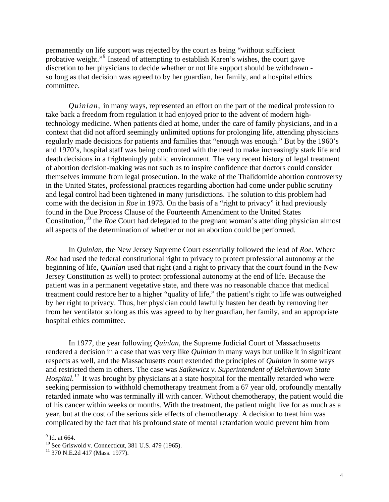permanently on life support was rejected by the court as being "without sufficient probative weight."<sup>[9](#page-4-0)</sup> Instead of attempting to establish Karen's wishes, the court gave discretion to her physicians to decide whether or not life support should be withdrawn so long as that decision was agreed to by her guardian, her family, and a hospital ethics committee.

 *Quinlan*, in many ways, represented an effort on the part of the medical profession to take back a freedom from regulation it had enjoyed prior to the advent of modern hightechnology medicine. When patients died at home, under the care of family physicians, and in a context that did not afford seemingly unlimited options for prolonging life, attending physicians regularly made decisions for patients and families that "enough was enough." But by the 1960's and 1970's, hospital staff was being confronted with the need to make increasingly stark life and death decisions in a frighteningly public environment. The very recent history of legal treatment of abortion decision-making was not such as to inspire confidence that doctors could consider themselves immune from legal prosecution. In the wake of the Thalidomide abortion controversy in the United States, professional practices regarding abortion had come under public scrutiny and legal control had been tightened in many jurisdictions. The solution to this problem had come with the decision in *Roe* in 1973. On the basis of a "right to privacy" it had previously found in the Due Process Clause of the Fourteenth Amendment to the United States Constitution,<sup>[10](#page-4-1)</sup> the *Roe* Court had delegated to the pregnant woman's attending physician almost all aspects of the determination of whether or not an abortion could be performed.

 In *Quinlan,* the New Jersey Supreme Court essentially followed the lead of *Roe.* Where *Roe* had used the federal constitutional right to privacy to protect professional autonomy at the beginning of life, *Quinlan* used that right (and a right to privacy that the court found in the New Jersey Constitution as well) to protect professional autonomy at the end of life. Because the patient was in a permanent vegetative state, and there was no reasonable chance that medical treatment could restore her to a higher "quality of life," the patient's right to life was outweighed by her right to privacy. Thus, her physician could lawfully hasten her death by removing her from her ventilator so long as this was agreed to by her guardian, her family, and an appropriate hospital ethics committee.

 In 1977, the year following *Quinlan,* the Supreme Judicial Court of Massachusetts rendered a decision in a case that was very like *Quinlan* in many ways but unlike it in significant respects as well, and the Massachusetts court extended the principles of *Quinlan* in some ways and restricted them in others. The case was *Saikewicz v. Superintendent of Belchertown State Hospital.*<sup>[11](#page-4-2)</sup> It was brought by physicians at a state hospital for the mentally retarded who were seeking permission to withhold chemotherapy treatment from a 67 year old, profoundly mentally retarded inmate who was terminally ill with cancer. Without chemotherapy, the patient would die of his cancer within weeks or months. With the treatment, the patient might live for as much as a year, but at the cost of the serious side effects of chemotherapy. A decision to treat him was complicated by the fact that his profound state of mental retardation would prevent him from

<span id="page-4-0"></span><sup>&</sup>lt;sup>9</sup> Id. at 664.

<span id="page-4-1"></span> $10^{10}$  See Griswold v. Connecticut, 381 U.S. 479 (1965).

<span id="page-4-2"></span> $11$  370 N.E.2d 417 (Mass. 1977).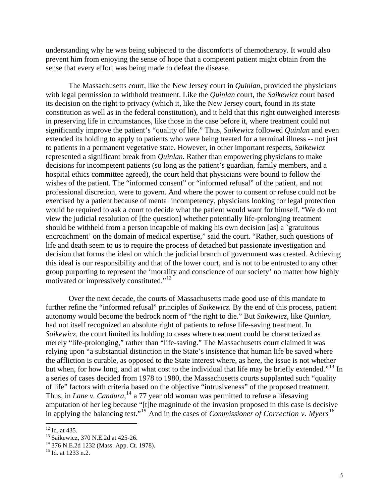understanding why he was being subjected to the discomforts of chemotherapy. It would also prevent him from enjoying the sense of hope that a competent patient might obtain from the sense that every effort was being made to defeat the disease.

 The Massachusetts court, like the New Jersey court in *Quinlan,* provided the physicians with legal permission to withhold treatment. Like the *Quinlan* court, the *Saikewicz* court based its decision on the right to privacy (which it, like the New Jersey court, found in its state constitution as well as in the federal constitution), and it held that this right outweighed interests in preserving life in circumstances, like those in the case before it, where treatment could not significantly improve the patient's "quality of life." Thus, *Saikewicz* followed *Quinlan* and even extended its holding to apply to patients who were being treated for a terminal illness -- not just to patients in a permanent vegetative state. However, in other important respects, *Saikewicz*  represented a significant break from *Quinlan.* Rather than empowering physicians to make decisions for incompetent patients (so long as the patient's guardian, family members, and a hospital ethics committee agreed), the court held that physicians were bound to follow the wishes of the patient. The "informed consent" or "informed refusal" of the patient, and not professional discretion, were to govern. And where the power to consent or refuse could not be exercised by a patient because of mental incompetency, physicians looking for legal protection would be required to ask a court to decide what the patient would want for himself. "We do not view the judicial resolution of [the question] whether potentially life-prolonging treatment should be withheld from a person incapable of making his own decision [as] a 'gratuitous encroachment' on the domain of medical expertise," said the court. "Rather, such questions of life and death seem to us to require the process of detached but passionate investigation and decision that forms the ideal on which the judicial branch of government was created. Achieving this ideal is our responsibility and that of the lower court, and is not to be entrusted to any other group purporting to represent the 'morality and conscience of our society' no matter how highly motivated or impressively constituted."<sup>[12](#page-5-0)</sup>

 Over the next decade, the courts of Massachusetts made good use of this mandate to further refine the "informed refusal" principles of *Saikewicz.* By the end of this process, patient autonomy would become the bedrock norm of "the right to die." But *Saikewicz*, like *Quinlan,*  had not itself recognized an absolute right of patients to refuse life-saving treatment. In *Saikewicz*, the court limited its holding to cases where treatment could be characterized as merely "life-prolonging," rather than "life-saving." The Massachusetts court claimed it was relying upon "a substantial distinction in the State's insistence that human life be saved where the affliction is curable, as opposed to the State interest where, as here, the issue is not whether but when, for how long, and at what cost to the individual that life may be briefly extended."<sup>[13](#page-5-1)</sup> In a series of cases decided from 1978 to 1980, the Massachusetts courts supplanted such "quality of life" factors with criteria based on the objective "intrusiveness" of the proposed treatment. Thus, in *Lane v. Candura*,<sup>[14](#page-5-2)</sup> a 77 year old woman was permitted to refuse a lifesaving amputation of her leg because "[t]he magnitude of the invasion proposed in this case is decisive in applying the balancing test."[15](#page-5-3) And in the cases of *Commissioner of Correction v. Myers*[16](#page-5-4)

<span id="page-5-4"></span> $12$  Id. at 435.

<span id="page-5-1"></span><span id="page-5-0"></span><sup>&</sup>lt;sup>13</sup> Saikewicz, 370 N.E.2d at 425-26.

<span id="page-5-2"></span><sup>14 376</sup> N.E.2d 1232 (Mass. App. Ct. 1978).

<span id="page-5-3"></span><sup>15</sup> Id. at 1233 n.2.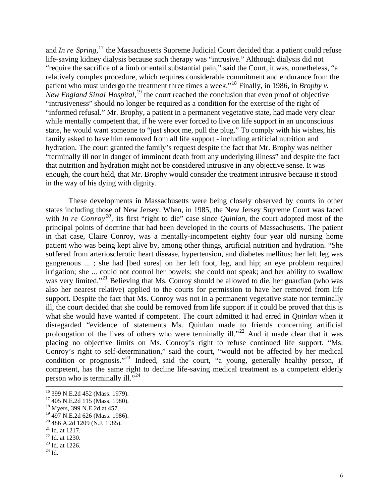and *In re Spring*, [17](#page-6-0) the Massachusetts Supreme Judicial Court decided that a patient could refuse life-saving kidney dialysis because such therapy was "intrusive." Although dialysis did not "require the sacrifice of a limb or entail substantial pain," said the Court, it was, nonetheless, "a relatively complex procedure, which requires considerable commitment and endurance from the patient who must undergo the treatment three times a week."<sup>[18](#page-6-1)</sup> Finally, in 1986, in *Brophy v*. *New England Sinai Hospital*, [19](#page-6-2) the court reached the conclusion that even proof of objective "intrusiveness" should no longer be required as a condition for the exercise of the right of "informed refusal." Mr. Brophy, a patient in a permanent vegetative state, had made very clear while mentally competent that, if he were ever forced to live on life support in an unconscious state, he would want someone to "just shoot me, pull the plug." To comply with his wishes, his family asked to have him removed from all life support - including artificial nutrition and hydration. The court granted the family's request despite the fact that Mr. Brophy was neither "terminally ill nor in danger of imminent death from any underlying illness" and despite the fact that nutrition and hydration might not be considered intrusive in any objective sense. It was enough, the court held, that Mr. Brophy would consider the treatment intrusive because it stood in the way of his dying with dignity.

 These developments in Massachusetts were being closely observed by courts in other states including those of New Jersey. When, in 1985, the New Jersey Supreme Court was faced with *In re Conroy[20](#page-6-3),* its first "right to die" case since *Quinlan*, the court adopted most of the principal points of doctrine that had been developed in the courts of Massachusetts. The patient in that case, Claire Conroy, was a mentally-incompetent eighty four year old nursing home patient who was being kept alive by, among other things, artificial nutrition and hydration. "She suffered from arteriosclerotic heart disease, hypertension, and diabetes mellitus; her left leg was gangrenous ... ; she had [bed sores] on her left foot, leg, and hip; an eye problem required irrigation; she ... could not control her bowels; she could not speak; and her ability to swallow was very limited."<sup>[21](#page-6-4)</sup> Believing that Ms. Conroy should be allowed to die, her guardian (who was also her nearest relative) applied to the courts for permission to have her removed from life support. Despite the fact that Ms. Conroy was not in a permanent vegetative state nor terminally ill, the court decided that she could be removed from life support if it could be proved that this is what she would have wanted if competent. The court admitted it had erred in *Quinlan* when it disregarded "evidence of statements Ms. Quinlan made to friends concerning artificial prolongation of the lives of others who were terminally ill."<sup>[22](#page-6-5)</sup> And it made clear that it was placing no objective limits on Ms. Conroy's right to refuse continued life support. "Ms. Conroy's right to self-determination," said the court, "would not be affected by her medical condition or prognosis."<sup>[23](#page-6-6)</sup> Indeed, said the court, "a young, generally healthy person, if competent, has the same right to decline life-saving medical treatment as a competent elderly person who is terminally ill."<sup>[24](#page-6-7)</sup>

<sup>16 399</sup> N.E.2d 452 (Mass. 1979).

<span id="page-6-0"></span><sup>17 405</sup> N.E.2d 115 (Mass. 1980).

<span id="page-6-1"></span><sup>18</sup> Myers, 399 N.E.2d at 457.

<span id="page-6-2"></span><sup>19 497</sup> N.E.2d 626 (Mass. 1986).

<span id="page-6-3"></span><sup>20 486</sup> A.2d 1209 (N.J. 1985).

<span id="page-6-4"></span><sup>21</sup> Id. at 1217.

<span id="page-6-5"></span> $22$  Id. at 1230.

<span id="page-6-6"></span> $23$  Id. at 1226.

<span id="page-6-7"></span> $24$  Id.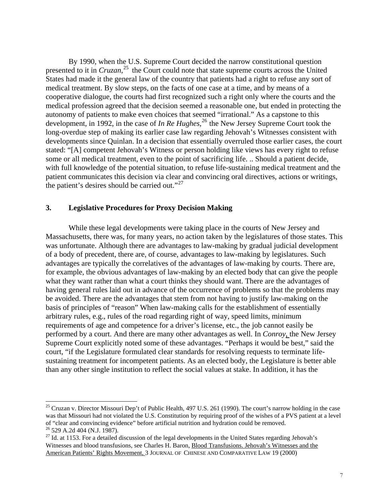By 1990, when the U.S. Supreme Court decided the narrow constitutional question presented to it in *Cruzan*,<sup>[25](#page-7-0)</sup> the Court could note that state supreme courts across the United States had made it the general law of the country that patients had a right to refuse any sort of medical treatment. By slow steps, on the facts of one case at a time, and by means of a cooperative dialogue, the courts had first recognized such a right only where the courts and the medical profession agreed that the decision seemed a reasonable one, but ended in protecting the autonomy of patients to make even choices that seemed "irrational." As a capstone to this development, in 1992, in the case of *In Re Hughes*, [26](#page-7-1) the New Jersey Supreme Court took the long-overdue step of making its earlier case law regarding Jehovah's Witnesses consistent with developments since Quinlan. In a decision that essentially overruled those earlier cases, the court stated: "[A] competent Jehovah's Witness or person holding like views has every right to refuse some or all medical treatment, even to the point of sacrificing life. .. Should a patient decide, with full knowledge of the potential situation, to refuse life-sustaining medical treatment and the patient communicates this decision via clear and convincing oral directives, actions or writings, the patient's desires should be carried out."<sup>[27](#page-7-2)</sup>

### **3. Legislative Procedures for Proxy Decision Making**

 $\overline{a}$ 

 While these legal developments were taking place in the courts of New Jersey and Massachusetts, there was, for many years, no action taken by the legislatures of those states. This was unfortunate. Although there are advantages to law-making by gradual judicial development of a body of precedent, there are, of course, advantages to law-making by legislatures. Such advantages are typically the correlatives of the advantages of law-making by courts. There are, for example, the obvious advantages of law-making by an elected body that can give the people what they want rather than what a court thinks they should want. There are the advantages of having general rules laid out in advance of the occurrence of problems so that the problems may be avoided. There are the advantages that stem from not having to justify law-making on the basis of principles of "reason" When law-making calls for the establishment of essentially arbitrary rules, e.g., rules of the road regarding right of way, speed limits, minimum requirements of age and competence for a driver's license, etc., the job cannot easily be performed by a court. And there are many other advantages as well. In *Conroy*, the New Jersey Supreme Court explicitly noted some of these advantages. "Perhaps it would be best," said the court, "if the Legislature formulated clear standards for resolving requests to terminate lifesustaining treatment for incompetent patients. As an elected body, the Legislature is better able than any other single institution to reflect the social values at stake. In addition, it has the

<span id="page-7-0"></span><sup>&</sup>lt;sup>25</sup> Cruzan v. Director Missouri Dep't of Public Health, 497 U.S. 261 (1990). The court's narrow holding in the case was that Missouri had not violated the U.S. Constitution by requiring proof of the wishes of a PVS patient at a level of "clear and convincing evidence" before artificial nutrition and hydration could be removed. 26 529 A.2d 404 (N.J. 1987).

<span id="page-7-2"></span><span id="page-7-1"></span> $27$  Id. at 1153. For a detailed discussion of the legal developments in the United States regarding Jehovah's Witnesses and blood transfusions, see Charles H. Baron, Blood Transfusions. Jehovah's Witnesses and the American Patients' Rights Movement, 3 JOURNAL OF CHINESE AND COMPARATIVE LAW 19 (2000)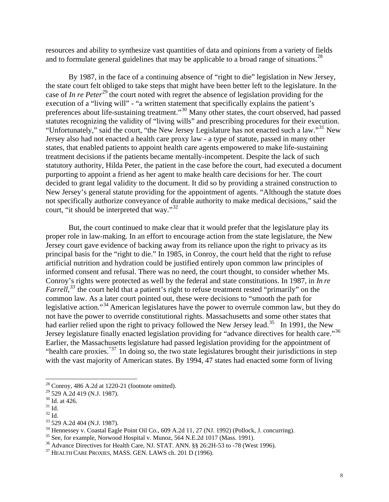resources and ability to synthesize vast quantities of data and opinions from a variety of fields and to formulate general guidelines that may be applicable to a broad range of situations.<sup>[28](#page-8-0)</sup>

 By 1987, in the face of a continuing absence of "right to die" legislation in New Jersey, the state court felt obliged to take steps that might have been better left to the legislature. In the case of *In re Peter*<sup>[29](#page-8-1)</sup> the court noted with regret the absence of legislation providing for the execution of a "living will" - "a written statement that specifically explains the patient's preferences about life-sustaining treatment."[30](#page-8-2) Many other states, the court observed, had passed statutes recognizing the validity of "living wills" and prescribing procedures for their execution. "Unfortunately," said the court, "the New Jersey Legislature has not enacted such a law."<sup>[31](#page-8-3)</sup> New Jersey also had not enacted a health care proxy law - a type of statute, passed in many other states, that enabled patients to appoint health care agents empowered to make life-sustaining treatment decisions if the patients became mentally-incompetent. Despite the lack of such statutory authority, Hilda Peter, the patient in the case before the court, had executed a document purporting to appoint a friend as her agent to make health care decisions for her. The court decided to grant legal validity to the document. It did so by providing a strained construction to New Jersey's general statute providing for the appointment of agents. "Although the statute does not specifically authorize conveyance of durable authority to make medical decisions," said the court, "it should be interpreted that way."<sup>[32](#page-8-4)</sup>

 But, the court continued to make clear that it would prefer that the legislature play its proper role in law-making. In an effort to encourage action from the state legislature, the New Jersey court gave evidence of backing away from its reliance upon the right to privacy as its principal basis for the "right to die." In 1985, in Conroy, the court held that the right to refuse artificial nutrition and hydration could be justified entirely upon common law principles of informed consent and refusal. There was no need, the court thought, to consider whether Ms. Conroy's rights were protected as well by the federal and state constitutions. In 1987, in *In re Farrell*,<sup>[33](#page-8-5)</sup> the court held that a patient's right to refuse treatment rested "primarily" on the common law. As a later court pointed out, these were decisions to "smooth the path for legislative action."[34](#page-8-6) American legislatures have the power to overrule common law, but they do not have the power to override constitutional rights. Massachusetts and some other states that had earlier relied upon the right to privacy followed the New Jersey lead.<sup>[35](#page-8-7)</sup> In 1991, the New Jersey legislature finally enacted legislation providing for "advance directives for health care."<sup>[36](#page-8-8)</sup> Earlier, the Massachusetts legislature had passed legislation providing for the appointment of "health care proxies."[37](#page-8-9) 1n doing so, the two state legislatures brought their jurisdictions in step with the vast majority of American states. By 1994, 47 states had enacted some form of living

<span id="page-8-0"></span> $28$  Conroy, 486 A.2d at 1220-21 (footnote omitted).

<span id="page-8-1"></span><sup>29 529</sup> A.2d 419 (N.J. 1987).

<sup>30</sup> Id. at 426.

<span id="page-8-3"></span><span id="page-8-2"></span> $31$  Id.

<span id="page-8-4"></span> $32$  Id.

<span id="page-8-5"></span><sup>33 529</sup> A.2d 404 (N.J. 1987).

<span id="page-8-6"></span><sup>&</sup>lt;sup>34</sup> Hennessey v. Coastal Eagle Point Oil Co., 609 A.2d 11, 27 (NJ. 1992) (Pollock, J. concurring).

<span id="page-8-7"></span> $35$  See, for example, Norwood Hospital v. Munoz, 564 N.E.2d 1017 (Mass. 1991).

<span id="page-8-9"></span><span id="page-8-8"></span> $36$  Advance Directives for Health Care, NJ. STAT. ANN. §§ 26:2H-53 to -78 (West 1996).<br> $37$  HEALTH CARE PROXIES, MASS. GEN. LAWS ch. 201 D (1996).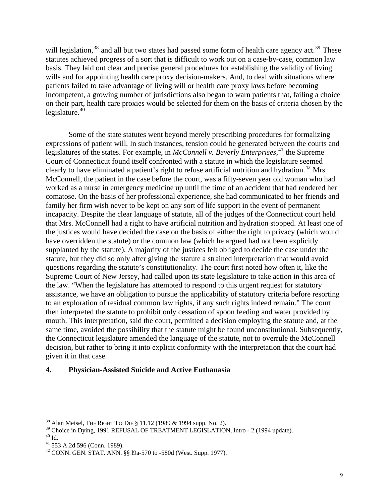will legislation,  $38$  and all but two states had passed some form of health care agency act.  $39$  These statutes achieved progress of a sort that is difficult to work out on a case-by-case, common law basis. They laid out clear and precise general procedures for establishing the validity of living wills and for appointing health care proxy decision-makers. And, to deal with situations where patients failed to take advantage of living will or health care proxy laws before becoming incompetent, a growing number of jurisdictions also began to warn patients that, failing a choice on their part, health care proxies would be selected for them on the basis of criteria chosen by the legislature. $40$ 

 Some of the state statutes went beyond merely prescribing procedures for formalizing expressions of patient will. In such instances, tension could be generated between the courts and legislatures of the states. For example, in *McConnell v. Beverly Enterprises*, [41](#page-9-3) the Supreme Court of Connecticut found itself confronted with a statute in which the legislature seemed clearly to have eliminated a patient's right to refuse artificial nutrition and hydration.<sup>[42](#page-9-4)</sup> Mrs. McConnell, the patient in the case before the court, was a fifty-seven year old woman who had worked as a nurse in emergency medicine up until the time of an accident that had rendered her comatose. On the basis of her professional experience, she had communicated to her friends and family her firm wish never to be kept on any sort of life support in the event of permanent incapacity. Despite the clear language of statute, all of the judges of the Connecticut court held that Mrs. McConnell had a right to have artificial nutrition and hydration stopped. At least one of the justices would have decided the case on the basis of either the right to privacy (which would have overridden the statute) or the common law (which he argued had not been explicitly supplanted by the statute). A majority of the justices felt obliged to decide the case under the statute, but they did so only after giving the statute a strained interpretation that would avoid questions regarding the statute's constitutionality. The court first noted how often it, like the Supreme Court of New Jersey, had called upon its state legislature to take action in this area of the law. "When the legislature has attempted to respond to this urgent request for statutory assistance, we have an obligation to pursue the applicability of statutory criteria before resorting to an exploration of residual common law rights, if any such rights indeed remain." The court then interpreted the statute to prohibit only cessation of spoon feeding and water provided by mouth. This interpretation, said the court, permitted a decision employing the statute and, at the same time, avoided the possibility that the statute might be found unconstitutional. Subsequently, the Connecticut legislature amended the language of the statute, not to overrule the McConnell decision, but rather to bring it into explicit conformity with the interpretation that the court had given it in that case.

# **4. Physician-Assisted Suicide and Active Euthanasia**

<span id="page-9-2"></span> $^{40}$  Id.

<span id="page-9-0"></span><sup>38</sup> Alan Meisel, THE RIGHT TO DIE § 11.12 (1989 & 1994 supp. No. 2).

<span id="page-9-1"></span><sup>&</sup>lt;sup>39</sup> Choice in Dying, 1991 REFUSAL OF TREATMENT LEGISLATION, Intro - 2 (1994 update).

<span id="page-9-3"></span><sup>41 553</sup> A.2d 596 (Conn. 1989).

<span id="page-9-4"></span><sup>&</sup>lt;sup>42</sup> CONN. GEN. STAT. ANN.  $\S$ § 19a-570 to -580d (West. Supp. 1977).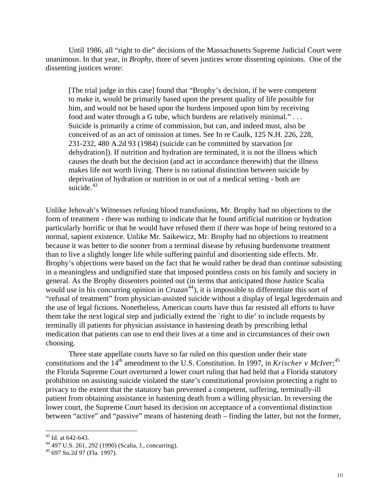Until 1986, all "right to die" decisions of the Massachusetts Supreme Judicial Court were unanimous. In that year, in *Brophy,* three of seven justices wrote dissenting opinions. One of the dissenting justices wrote:

[The trial judge in this case] found that "Brophy's decision, if he were competent to make it, would be primarily based upon the present quality of life possible for him, and would not be based upon the burdens imposed upon him by receiving food and water through a G tube, which burdens are relatively minimal." . . . Suicide is primarily a crime of commission, but can, and indeed must, also be conceived of as an act of omission at times. See In re Caulk, 125 N.H. 226, 228, 231-232, 480 A.2d 93 (1984) (suicide can be committed by starvation [or dehydration]). If nutrition and hydration are terminated, it is not the illness which causes the death but the decision (and act in accordance therewith) that the illness makes life not worth living. There is no rational distinction between suicide by deprivation of hydration or nutrition in or out of a medical setting - both are suicide. $43$ 

Unlike Jehovah's Witnesses refusing blood transfusions, Mr. Brophy had no objections to the form of treatment - there was nothing to indicate that he found artificial nutrition or hydration particularly horrific or that he would have refused them if there was hope of being restored to a normal, sapient existence. Unlike Mr. Saikewicz, Mr. Brophy had no objections to treatment because it was better to die sooner from a terminal disease by refusing burdensome treatment than to live a slightly longer life while suffering painful and disorienting side effects. Mr. Brophy's objections were based on the fact that he would rather be dead than continue subsisting in a meaningless and undignified state that imposed pointless costs on his family and society in general. As the Brophy dissenters pointed out (in terms that anticipated those Justice Scalia would use in his concurring opinion in *Cruzan*<sup>[44](#page-10-1)</sup>), it is impossible to differentiate this sort of "refusal of treatment" from physician-assisted suicide without a display of legal legerdemain and the use of legal fictions. Nonetheless, American courts have thus far resisted all efforts to have them take the next logical step and judicially extend the `right to die' to include requests by terminally ill patients for physician assistance in hastening death by prescribing lethal medication that patients can use to end their lives at a time and in circumstances of their own choosing.

 Three state appellate courts have so far ruled on this question under their state constitutions and the  $14<sup>th</sup>$  amendment to the U.S. Constitution. In 1997, in *Krischer v McIver*;<sup>[45](#page-10-2)</sup> the Florida Supreme Court overturned a lower court ruling that had held that a Florida statutory prohibition on assisting suicide violated the state's constitutional provision protecting a right to privacy to the extent that the statutory ban prevented a competent, suffering, terminally-ill patient from obtaining assistance in hastening death from a willing physician. In reversing the lower court, the Supreme Court based its decision on acceptance of a conventional distinction between "active" and "passive" means of hastening death – finding the latter, but not the former,

 $43$  Id. at 642-643.

<span id="page-10-1"></span><span id="page-10-0"></span> $^{44}$  497 U.S. 261, 292 (1990) (Scalia, J., concurring).

<span id="page-10-2"></span><sup>45 697</sup> So.2d 97 (Fla. 1997).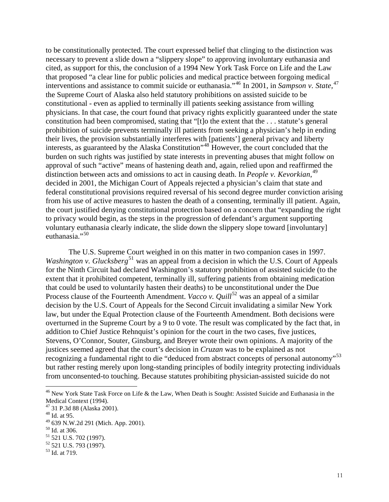to be constitutionally protected. The court expressed belief that clinging to the distinction was necessary to prevent a slide down a "slippery slope" to approving involuntary euthanasia and cited, as support for this, the conclusion of a 1994 New York Task Force on Life and the Law that proposed "a clear line for public policies and medical practice between forgoing medical interventions and assistance to commit suicide or euthanasia."[46](#page-11-0) In 2001, in *Sampson v. State,*[47](#page-11-1) the Supreme Court of Alaska also held statutory prohibitions on assisted suicide to be constitutional - even as applied to terminally ill patients seeking assistance from willing physicians. In that case, the court found that privacy rights explicitly guaranteed under the state constitution had been compromised, stating that "[t]o the extent that the . . . statute's general prohibition of suicide prevents terminally ill patients from seeking a physician's help in ending their lives, the provision substantially interferes with [patients'] general privacy and liberty interests, as guaranteed by the Alaska Constitution"[48](#page-11-2) However, the court concluded that the burden on such rights was justified by state interests in preventing abuses that might follow on approval of such "active" means of hastening death and, again, relied upon and reaffirmed the distinction between acts and omissions to act in causing death. In *People v. Kevorkian*, [49](#page-11-3) decided in 2001, the Michigan Court of Appeals rejected a physician's claim that state and federal constitutional provisions required reversal of his second degree murder conviction arising from his use of active measures to hasten the death of a consenting, terminally ill patient. Again, the court justified denying constitutional protection based on a concern that "expanding the right to privacy would begin, as the steps in the progression of defendant's argument supporting voluntary euthanasia clearly indicate, the slide down the slippery slope toward [involuntary] euthanasia."<sup>[50](#page-11-4)</sup>

 The U.S. Supreme Court weighed in on this matter in two companion cases in 1997. *Washington v. Glucksberg*<sup>[51](#page-11-5)</sup> was an appeal from a decision in which the U.S. Court of Appeals for the Ninth Circuit had declared Washington's statutory prohibition of assisted suicide (to the extent that it prohibited competent, terminally ill, suffering patients from obtaining medication that could be used to voluntarily hasten their deaths) to be unconstitutional under the Due Process clause of the Fourteenth Amendment. *Vacco v. Quill*<sup>[52](#page-11-6)</sup> was an appeal of a similar decision by the U.S. Court of Appeals for the Second Circuit invalidating a similar New York law, but under the Equal Protection clause of the Fourteenth Amendment. Both decisions were overturned in the Supreme Court by a 9 to 0 vote. The result was complicated by the fact that, in addition to Chief Justice Rehnquist's opinion for the court in the two cases, five justices, Stevens, O'Connor, Souter, Ginsburg, and Breyer wrote their own opinions. A majority of the justices seemed agreed that the court's decision in *Cruzan* was to be explained as not recognizing a fundamental right to die "deduced from abstract concepts of personal autonomy"[53](#page-11-7) but rather resting merely upon long-standing principles of bodily integrity protecting individuals from unconsented-to touching. Because statutes prohibiting physician-assisted suicide do not

<span id="page-11-0"></span><sup>&</sup>lt;sup>46</sup> New York State Task Force on Life & the Law, When Death is Sought: Assisted Suicide and Euthanasia in the Medical Context (1994).

<span id="page-11-1"></span><sup>47 31</sup> P.3d 88 (Alaska 2001).

<span id="page-11-2"></span><sup>48</sup> Id. at 95.

<span id="page-11-3"></span><sup>49 639</sup> N.W.2d 291 (Mich. App. 2001).

<span id="page-11-4"></span><sup>50</sup> Id. at 306.

<span id="page-11-5"></span><sup>51 521</sup> U.S. 702 (1997).

<span id="page-11-6"></span> $52$  521 U.S. 793 (1997).

<span id="page-11-7"></span><sup>53</sup> Id. at 719.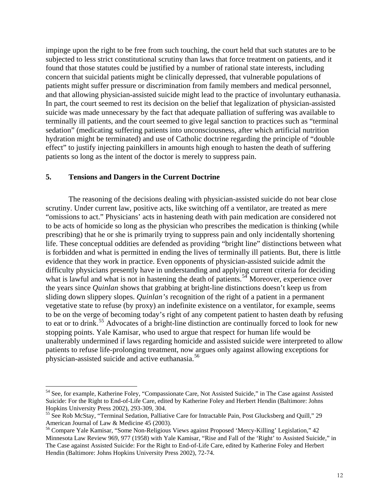impinge upon the right to be free from such touching, the court held that such statutes are to be subjected to less strict constitutional scrutiny than laws that force treatment on patients, and it found that those statutes could be justified by a number of rational state interests, including concern that suicidal patients might be clinically depressed, that vulnerable populations of patients might suffer pressure or discrimination from family members and medical personnel, and that allowing physician-assisted suicide might lead to the practice of involuntary euthanasia. In part, the court seemed to rest its decision on the belief that legalization of physician-assisted suicide was made unnecessary by the fact that adequate palliation of suffering was available to terminally ill patients, and the court seemed to give legal sanction to practices such as "terminal sedation" (medicating suffering patients into unconsciousness, after which artificial nutrition hydration might be terminated) and use of Catholic doctrine regarding the principle of "double effect" to justify injecting painkillers in amounts high enough to hasten the death of suffering patients so long as the intent of the doctor is merely to suppress pain.

# **5. Tensions and Dangers in the Current Doctrine**

 $\overline{a}$ 

 The reasoning of the decisions dealing with physician-assisted suicide do not bear close scrutiny. Under current law, positive acts, like switching off a ventilator, are treated as mere "omissions to act." Physicians' acts in hastening death with pain medication are considered not to be acts of homicide so long as the physician who prescribes the medication is thinking (while prescribing) that he or she is primarily trying to suppress pain and only incidentally shortening life. These conceptual oddities are defended as providing "bright line" distinctions between what is forbidden and what is permitted in ending the lives of terminally ill patients. But, there is little evidence that they work in practice. Even opponents of physician-assisted suicide admit the difficulty physicians presently have in understanding and applying current criteria for deciding what is lawful and what is not in hastening the death of patients.<sup>[54](#page-12-0)</sup> Moreover, experience over the years since *Quinlan* shows that grabbing at bright-line distinctions doesn't keep us from sliding down slippery slopes. *Quinlan's* recognition of the right of a patient in a permanent vegetative state to refuse (by proxy) an indefinite existence on a ventilator, for example, seems to be on the verge of becoming today's right of any competent patient to hasten death by refusing to eat or to drink.<sup>[55](#page-12-1)</sup> Advocates of a bright-line distinction are continually forced to look for new stopping points. Yale Kamisar, who used to argue that respect for human life would be unalterably undermined if laws regarding homicide and assisted suicide were interpreted to allow patients to refuse life-prolonging treatment, now argues only against allowing exceptions for physician-assisted suicide and active euthanasia.<sup>[56](#page-12-2)</sup>

<span id="page-12-0"></span><sup>54</sup> See, for example, Katherine Foley, "Compassionate Care, Not Assisted Suicide," in The Case against Assisted Suicide: For the Right to End-of-Life Care, edited by Katherine Foley and Herbert Hendin (Baltimore: Johns Hopkins University Press 2002), 293-309, 304.

<span id="page-12-1"></span><sup>55</sup> See Rob McStay, "Terminal Sedation, Palliative Care for Intractable Pain, Post Glucksberg and Quill," 29 American Journal of Law & Medicine 45 (2003).

<span id="page-12-2"></span><sup>&</sup>lt;sup>56</sup> Compare Yale Kamisar, "Some Non-Religious Views against Proposed 'Mercy-Killing' Legislation," 42 Minnesota Law Review 969, 977 (1958) with Yale Kamisar, "Rise and Fall of the 'Right' to Assisted Suicide," in The Case against Assisted Suicide: For the Right to End-of-Life Care, edited by Katherine Foley and Herbert Hendin (Baltimore: Johns Hopkins University Press 2002), 72-74.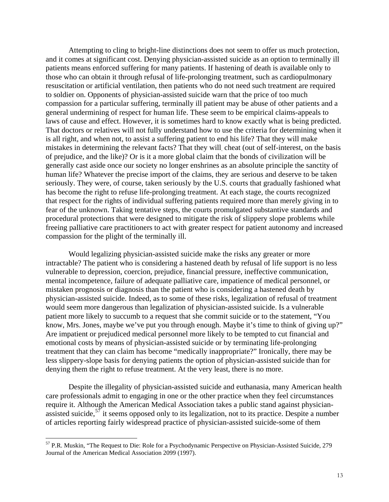Attempting to cling to bright-line distinctions does not seem to offer us much protection, and it comes at significant cost. Denying physician-assisted suicide as an option to terminally ill patients means enforced suffering for many patients. If hastening of death is available only to those who can obtain it through refusal of life-prolonging treatment, such as cardiopulmonary resuscitation or artificial ventilation, then patients who do not need such treatment are required to soldier on. Opponents of physician-assisted suicide warn that the price of too much compassion for a particular suffering, terminally ill patient may be abuse of other patients and a general undermining of respect for human life. These seem to be empirical claims-appeals to laws of cause and effect. However, it is sometimes hard to know exactly what is being predicted. That doctors or relatives will not fully understand how to use the criteria for determining when it is all right, and when not, to assist a suffering patient to end his life? That they will make mistakes in determining the relevant facts? That they will. cheat (out of self-interest, on the basis of prejudice, and the like)? Or is it a more global claim that the bonds of civilization will be generally cast aside once our society no longer enshrines as an absolute principle the sanctity of human life? Whatever the precise import of the claims, they are serious and deserve to be taken seriously. They were, of course, taken seriously by the U.S. courts that gradually fashioned what has become the right to refuse life-prolonging treatment. At each stage, the courts recognized that respect for the rights of individual suffering patients required more than merely giving in to fear of the unknown. Taking tentative steps, the courts promulgated substantive standards and procedural protections that were designed to mitigate the risk of slippery slope problems while freeing palliative care practitioners to act with greater respect for patient autonomy and increased compassion for the plight of the terminally ill.

 Would legalizing physician-assisted suicide make the risks any greater or more intractable? The patient who is considering a hastened death by refusal of life support is no less vulnerable to depression, coercion, prejudice, financial pressure, ineffective communication, mental incompetence, failure of adequate palliative care, impatience of medical personnel, or mistaken prognosis or diagnosis than the patient who is considering a hastened death by physician-assisted suicide. Indeed, as to some of these risks, legalization of refusal of treatment would seem more dangerous than legalization of physician-assisted suicide. Is a vulnerable patient more likely to succumb to a request that she commit suicide or to the statement, "You know, Mrs. Jones, maybe we've put you through enough. Maybe it's time to think of giving up?" Are impatient or prejudiced medical personnel more likely to be tempted to cut financial and emotional costs by means of physician-assisted suicide or by terminating life-prolonging treatment that they can claim has become "medically inappropriate?" Ironically, there may be less slippery-slope basis for denying patients the option of physician-assisted suicide than for denying them the right to refuse treatment. At the very least, there is no more.

 Despite the illegality of physician-assisted suicide and euthanasia, many American health care professionals admit to engaging in one or the other practice when they feel circumstances require it. Although the American Medical Association takes a public stand against physicianassisted suicide,  $5^{\frac{3}{7}}$  it seems opposed only to its legalization, not to its practice. Despite a number of articles reporting fairly widespread practice of physician-assisted suicide-some of them

<span id="page-13-0"></span><sup>&</sup>lt;sup>57</sup> P.R. Muskin, "The Request to Die: Role for a Psychodynamic Perspective on Physician-Assisted Suicide, 279 Journal of the American Medical Association 2099 (1997).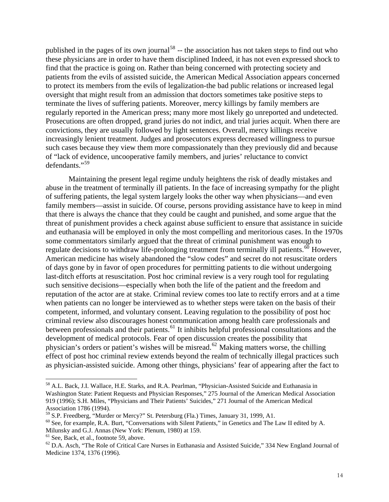published in the pages of its own journal<sup>[58](#page-14-0)</sup> -- the association has not taken steps to find out who these physicians are in order to have them disciplined Indeed, it has not even expressed shock to find that the practice is going on. Rather than being concerned with protecting society and patients from the evils of assisted suicide, the American Medical Association appears concerned to protect its members from the evils of legalization-the bad public relations or increased legal oversight that might result from an admission that doctors sometimes take positive steps to terminate the lives of suffering patients. Moreover, mercy killings by family members are regularly reported in the American press; many more most likely go unreported and undetected. Prosecutions are often dropped, grand juries do not indict, and trial juries acquit. When there are convictions, they are usually followed by light sentences. Overall, mercy killings receive increasingly lenient treatment. Judges and prosecutors express decreased willingness to pursue such cases because they view them more compassionately than they previously did and because of "lack of evidence, uncooperative family members, and juries' reluctance to convict defendants."<sup>[59](#page-14-1)</sup>

 Maintaining the present legal regime unduly heightens the risk of deadly mistakes and abuse in the treatment of terminally ill patients. In the face of increasing sympathy for the plight of suffering patients, the legal system largely looks the other way when physicians—and even family members—assist in suicide. Of course, persons providing assistance have to keep in mind that there is always the chance that they could be caught and punished, and some argue that the threat of punishment provides a check against abuse sufficient to ensure that assistance in suicide and euthanasia will be employed in only the most compelling and meritorious cases. In the 1970s some commentators similarly argued that the threat of criminal punishment was enough to regulate decisions to withdraw life-prolonging treatment from terminally ill patients.<sup>[60](#page-14-2)</sup> However, American medicine has wisely abandoned the "slow codes" and secret do not resuscitate orders of days gone by in favor of open procedures for permitting patients to die without undergoing last-ditch efforts at resuscitation. Post hoc criminal review is a very rough tool for regulating such sensitive decisions—especially when both the life of the patient and the freedom and reputation of the actor are at stake. Criminal review comes too late to rectify errors and at a time when patients can no longer be interviewed as to whether steps were taken on the basis of their competent, informed, and voluntary consent. Leaving regulation to the possibility of post hoc criminal review also discourages honest communication among health care professionals and between professionals and their patients.<sup>[61](#page-14-3)</sup> It inhibits helpful professional consultations and the development of medical protocols. Fear of open discussion creates the possibility that physician's orders or patient's wishes will be misread.[62](#page-14-4) Making matters worse, the chilling effect of post hoc criminal review extends beyond the realm of technically illegal practices such as physician-assisted suicide. Among other things, physicians' fear of appearing after the fact to

<span id="page-14-0"></span><sup>58</sup> A.L. Back, J.I. Wallace, H.E. Starks, and R.A. Pearlman, "Physician-Assisted Suicide and Euthanasia in Washington State: Patient Requests and Physician Responses," 275 Journal of the American Medical Association 919 (1996); S.H. Miles, "Physicians and Their Patients' Suicides," 271 Journal of the American Medical Association 1786 (1994).

<span id="page-14-1"></span><sup>59</sup> S.P. Freedberg, "Murder or Mercy?" St. Petersburg (Fla.) Times, January 31, 1999, A1.

<span id="page-14-2"></span><sup>60</sup> See, for example, R.A. Burt, "Conversations with Silent Patients," in Genetics and The Law II edited by A. Milunsky and G.J. Annas (New York: Plenum, 1980) at 159.

<span id="page-14-3"></span> $61$  See, Back, et al., footnote 59, above.

<span id="page-14-4"></span> $62$  D.A. Asch, "The Role of Critical Care Nurses in Euthanasia and Assisted Suicide," 334 New England Journal of Medicine 1374, 1376 (1996).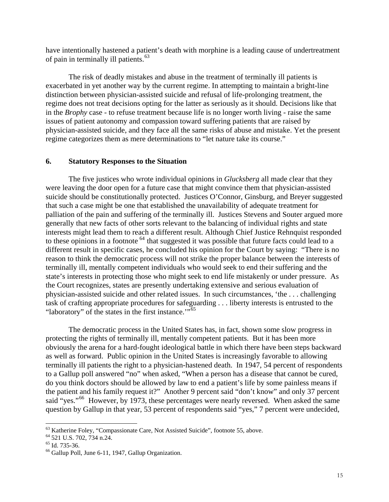have intentionally hastened a patient's death with morphine is a leading cause of undertreatment of pain in terminally ill patients.<sup>[63](#page-15-0)</sup>

 The risk of deadly mistakes and abuse in the treatment of terminally ill patients is exacerbated in yet another way by the current regime. In attempting to maintain a bright-line distinction between physician-assisted suicide and refusal of life-prolonging treatment, the regime does not treat decisions opting for the latter as seriously as it should. Decisions like that in the *Brophy* case - to refuse treatment because life is no longer worth living - raise the same issues of patient autonomy and compassion toward suffering patients that are raised by physician-assisted suicide, and they face all the same risks of abuse and mistake. Yet the present regime categorizes them as mere determinations to "let nature take its course."

#### **6. Statutory Responses to the Situation**

 The five justices who wrote individual opinions in *Glucksberg* all made clear that they were leaving the door open for a future case that might convince them that physician-assisted suicide should be constitutionally protected. Justices O'Connor, Ginsburg, and Breyer suggested that such a case might be one that established the unavailability of adequate treatment for palliation of the pain and suffering of the terminally ill. Justices Stevens and Souter argued more generally that new facts of other sorts relevant to the balancing of individual rights and state interests might lead them to reach a different result. Although Chief Justice Rehnquist responded to these opinions in a footnote <sup>[64](#page-15-1)</sup> that suggested it was possible that future facts could lead to a different result in specific cases, he concluded his opinion for the Court by saying: "There is no reason to think the democratic process will not strike the proper balance between the interests of terminally ill, mentally competent individuals who would seek to end their suffering and the state's interests in protecting those who might seek to end life mistakenly or under pressure. As the Court recognizes, states are presently undertaking extensive and serious evaluation of physician-assisted suicide and other related issues. In such circumstances, 'the . . . challenging task of crafting appropriate procedures for safeguarding . . . liberty interests is entrusted to the "laboratory" of the states in the first instance."<sup>[65](#page-15-2)</sup>

 The democratic process in the United States has, in fact, shown some slow progress in protecting the rights of terminally ill, mentally competent patients. But it has been more obviously the arena for a hard-fought ideological battle in which there have been steps backward as well as forward. Public opinion in the United States is increasingly favorable to allowing terminally ill patients the right to a physician-hastened death. In 1947, 54 percent of respondents to a Gallup poll answered "no" when asked, "When a person has a disease that cannot be cured, do you think doctors should be allowed by law to end a patient's life by some painless means if the patient and his family request it?" Another 9 percent said "don't know" and only 37 percent said "yes."<sup>[66](#page-15-3)</sup> However, by 1973, these percentages were nearly reversed. When asked the same question by Gallup in that year, 53 percent of respondents said "yes," 7 percent were undecided,

<span id="page-15-0"></span> $63$  Katherine Foley, "Compassionate Care, Not Assisted Suicide", footnote 55, above.

<span id="page-15-1"></span><sup>64 521</sup> U.S. 702, 734 n.24.

<sup>&</sup>lt;sup>65</sup> Id. 735-36.

<span id="page-15-3"></span><span id="page-15-2"></span><sup>66</sup> Gallup Poll, June 6-11, 1947, Gallup Organization.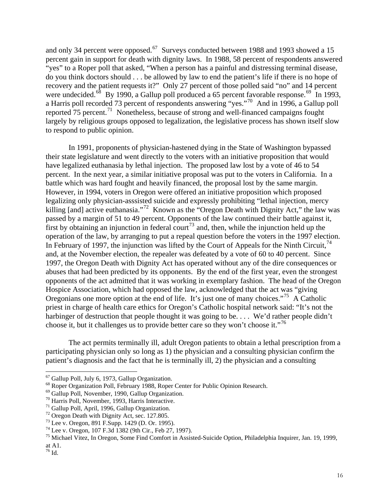and only 34 percent were opposed.<sup>[67](#page-16-0)</sup> Surveys conducted between 1988 and 1993 showed a 15 percent gain in support for death with dignity laws. In 1988, 58 percent of respondents answered "yes" to a Roper poll that asked, "When a person has a painful and distressing terminal disease, do you think doctors should . . . be allowed by law to end the patient's life if there is no hope of recovery and the patient requests it?" Only 27 percent of those polled said "no" and 14 percent were undecided.<sup>[68](#page-16-1)</sup> By 1990, a Gallup poll produced a 65 percent favorable response.<sup>[69](#page-16-2)</sup> In 1993, a Harris poll recorded 73 percent of respondents answering "yes."[70](#page-16-3) And in 1996, a Gallup poll reported 75 percent.<sup>[71](#page-16-4)</sup> Nonetheless, because of strong and well-financed campaigns fought largely by religious groups opposed to legalization, the legislative process has shown itself slow to respond to public opinion.

 In 1991, proponents of physician-hastened dying in the State of Washington bypassed their state legislature and went directly to the voters with an initiative proposition that would have legalized euthanasia by lethal injection. The proposed law lost by a vote of 46 to 54 percent. In the next year, a similar initiative proposal was put to the voters in California. In a battle which was hard fought and heavily financed, the proposal lost by the same margin. However, in 1994, voters in Oregon were offered an initiative proposition which proposed legalizing only physician-asssisted suicide and expressly prohibiting "lethal injection, mercy killing [and] active euthanasia."<sup>[72](#page-16-5)</sup> Known as the "Oregon Death with Dignity Act," the law was passed by a margin of 51 to 49 percent. Opponents of the law continued their battle against it, first by obtaining an injunction in federal court<sup>[73](#page-16-6)</sup> and, then, while the injunction held up the operation of the law, by arranging to put a repeal question before the voters in the 1997 election. In February of 1997, the injunction was lifted by the Court of Appeals for the Ninth Circuit,  $^{74}$  $^{74}$  $^{74}$ and, at the November election, the repealer was defeated by a vote of 60 to 40 percent. Since 1997, the Oregon Death with Dignity Act has operated without any of the dire consequences or abuses that had been predicted by its opponents. By the end of the first year, even the strongest opponents of the act admitted that it was working in exemplary fashion. The head of the Oregon Hospice Association, which had opposed the law, acknowledged that the act was "giving Oregonians one more option at the end of life. It's just one of many choices."<sup>[75](#page-16-8)</sup> A Catholic priest in charge of health care ethics for Oregon's Catholic hospital network said: "It's not the harbinger of destruction that people thought it was going to be.... We'd rather people didn't choose it, but it challenges us to provide better care so they won't choose it."[76](#page-16-9)

 The act permits terminally ill, adult Oregon patients to obtain a lethal prescription from a participating physician only so long as 1) the physician and a consulting physician confirm the patient's diagnosis and the fact that he is terminally ill, 2) the physician and a consulting

<span id="page-16-0"></span> $67$  Gallup Poll, July 6, 1973, Gallup Organization.

<span id="page-16-1"></span><sup>68</sup> Roper Organization Poll, February 1988, Roper Center for Public Opinion Research.

<span id="page-16-2"></span><sup>69</sup> Gallup Poll, November, 1990, Gallup Organization.

<span id="page-16-3"></span><sup>70</sup> Harris Poll, November, 1993, Harris Interactive.

<span id="page-16-4"></span><sup>71</sup> Gallup Poll, April, 1996, Gallup Organization.

<span id="page-16-5"></span><sup>72</sup> Oregon Death with Dignity Act, sec. 127.805.

<span id="page-16-6"></span><sup>73</sup> Lee v. Oregon, 891 F.Supp. 1429 (D. Or. 1995).

<span id="page-16-7"></span><sup>74</sup> Lee v. Oregon, 107 F.3d 1382 (9th Cir., Feb 27, 1997).

<span id="page-16-8"></span><sup>75</sup> Michael Vitez, In Oregon, Some Find Comfort in Assisted-Suicide Option, Philadelphia Inquirer, Jan. 19, 1999, at A1.

<span id="page-16-9"></span> $76$  Id.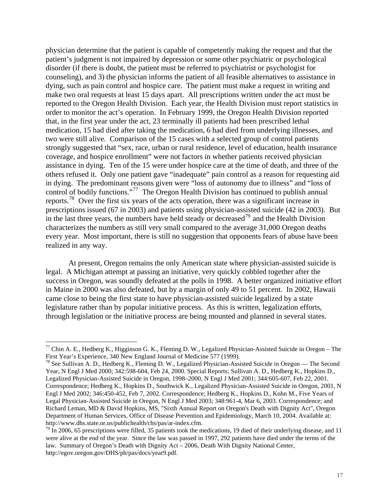physician determine that the patient is capable of competently making the request and that the patient's judgment is not impaired by depression or some other psychiatric or psychological disorder (if there is doubt, the patient must be referred to psychiatrist or psychologist for counseling), and 3) the physician informs the patient of all feasible alternatives to assistance in dying, such as pain control and hospice care. The patient must make a request in writing and make two oral requests at least 15 days apart. All prescriptions written under the act must be reported to the Oregon Health Division. Each year, the Health Division must report statistics in order to monitor the act's operation. In February 1999, the Oregon Health Division reported that, in the first year under the act, 23 terminally ill patients had been prescribed lethal medication, 15 had died after taking the medication, 6 had died from underlying illnesses, and two were still alive. Comparison of the 15 cases with a selected group of control patients strongly suggested that "sex, race, urban or rural residence, level of education, health insurance coverage, and hospice enrollment" were not factors in whether patients received physician assistance in dying. Ten of the 15 were under hospice care at the time of death, and three of the others refused it. Only one patient gave "inadequate" pain control as a reason for requesting aid in dying. The predominant reasons given were "loss of autonomy due to illness" and "loss of control of bodily functions."<sup>[77](#page-17-0)</sup> The Oregon Health Division has continued to publish annual reports.<sup>[78](#page-17-1)</sup> Over the first six years of the acts operation, there was a significant increase in prescriptions issued (67 in 2003) and patients using physician-assisted suicide (42 in 2003). But in the last three years, the numbers have held steady or decreased<sup>[79](#page-17-2)</sup> and the Health Division characterizes the numbers as still very small compared to the average 31,000 Oregon deaths every year. Most important, there is still no suggestion that opponents fears of abuse have been realized in any way.

At present, Oregon remains the only American state where physician-assisted suicide is legal. A Michigan attempt at passing an initiative, very quickly cobbled together after the success in Oregon, was soundly defeated at the polls in 1998. A better organized initiative effort in Maine in 2000 was also defeated, but by a margin of only 49 to 51 percent. In 2002, Hawaii came close to being the first state to have physician-assisted suicide legalized by a state legislature rather than by popular initiative process. As this is written, legalization efforts, through legislation or the initiative process are being mounted and planned in several states.

<span id="page-17-0"></span><sup>&</sup>lt;sup>77</sup> Chin A. E., Hedberg K., Higginson G. K., Fleming D. W., Legalized Physician-Assisted Suicide in Oregon – The First Year's Experience, 340 New England Journal of Medicine 577 (1999).

<span id="page-17-1"></span><sup>&</sup>lt;sup>78</sup> See Sullivan A. D., Hedberg K., Fleming D. W., Legalized Physician-Assisted Suicide in Oregon — The Second Year, N Engl J Med 2000; 342:598-604, Feb 24, 2000. Special Reports; Sullivan A. D., Hedberg K., Hopkins D., Legalized Physician-Assisted Suicide in Oregon, 1998–2000, N Engl J Med 2001; 344:605-607, Feb 22, 2001. Correspondence; Hedberg K., Hopkins D., Southwick K., Legalized Physician-Assisted Suicide in Oregon, 2001, N Engl J Med 2002; 346:450-452, Feb 7, 2002. Correspondence; Hedberg K., Hopkins D., Kohn M., Five Years of Legal Physician-Assisted Suicide in Oregon, N Engl J Med 2003; 348:961-4, Mar 6, 2003. Correspondence; and Richard Leman, MD & David Hopkins, MS, "Sixth Annual Report on Oregon's Death with Dignity Act", Oregon Department of Human Services, Office of Disease Prevention and Epidemiology, March 10, 2004. Available at: http://www.dhs.state.or.us/publichealth/chs/pas/ar-index.cfm.

<span id="page-17-2"></span> $79$  In 2006, 65 prescriptions were filled, 35 patients took the medications, 19 died of their underlying disease, and 11 were alive at the end of the year. Since the law was passed in 1997, 292 patients have died under the terms of the law. Summary of Oregon's Death with Dignity Act – 2006, Death With Dignity National Center, http://egov.oregon.gov/DHS/ph/pas/docs/year9.pdf.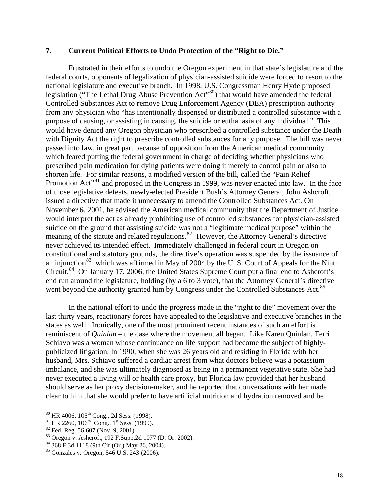# **7. Current Political Efforts to Undo Protection of the "Right to Die."**

 Frustrated in their efforts to undo the Oregon experiment in that state's legislature and the federal courts, opponents of legalization of physician-assisted suicide were forced to resort to the national legislature and executive branch. In 1998, U.S. Congressman Henry Hyde proposed legislation ("The Lethal Drug Abuse Prevention Act"<sup>[80](#page-18-0)</sup>) that would have amended the federal Controlled Substances Act to remove Drug Enforcement Agency (DEA) prescription authority from any physician who "has intentionally dispensed or distributed a controlled substance with a purpose of causing, or assisting in causing, the suicide or euthanasia of any individual." This would have denied any Oregon physician who prescribed a controlled substance under the Death with Dignity Act the right to prescribe controlled substances for any purpose. The bill was never passed into law, in great part because of opposition from the American medical community which feared putting the federal government in charge of deciding whether physicians who prescribed pain medication for dying patients were doing it merely to control pain or also to shorten life. For similar reasons, a modified version of the bill, called the "Pain Relief Promotion Act<sup>[81](#page-18-1)</sup> and proposed in the Congress in 1999, was never enacted into law. In the face of those legislative defeats, newly-elected President Bush's Attorney General, John Ashcroft, issued a directive that made it unnecessary to amend the Controlled Substances Act. On November 6, 2001, he advised the American medical community that the Department of Justice would interpret the act as already prohibiting use of controlled substances for physician-assisted suicide on the ground that assisting suicide was not a "legitimate medical purpose" within the meaning of the statute and related regulations.<sup>[82](#page-18-2)</sup> However, the Attorney General's directive never achieved its intended effect. Immediately challenged in federal court in Oregon on constitutional and statutory grounds, the directive's operation was suspended by the issuance of an injunction<sup>[83](#page-18-3)</sup> which was affirmed in May of 2004 by the U.S. Court of Appeals for the Ninth Circuit.[84](#page-18-4) On January 17, 2006, the United States Supreme Court put a final end to Ashcroft's end run around the legislature, holding (by a 6 to 3 vote), that the Attorney General's directive went beyond the authority granted him by Congress under the Controlled Substances Act.<sup>[85](#page-18-5)</sup>

In the national effort to undo the progress made in the "right to die" movement over the last thirty years, reactionary forces have appealed to the legislative and executive branches in the states as well. Ironically, one of the most prominent recent instances of such an effort is reminiscent of *Quinlan* – the case where the movement all began. Like Karen Quinlan, Terri Schiavo was a woman whose continuance on life support had become the subject of highlypublicized litigation. In 1990, when she was 26 years old and residing in Florida with her husband, Mrs. Schiavo suffered a cardiac arrest from what doctors believe was a potassium imbalance, and she was ultimately diagnosed as being in a permanent vegetative state. She had never executed a living will or health care proxy, but Florida law provided that her husband should serve as her proxy decision-maker, and he reported that conversations with her made clear to him that she would prefer to have artificial nutrition and hydration removed and be

<span id="page-18-0"></span><sup>&</sup>lt;sup>80</sup> HR 4006, 105<sup>th</sup> Cong., 2d Sess. (1998).

<span id="page-18-1"></span><sup>81</sup> HR 2260, 106<sup>th</sup> Cong., 1<sup>st</sup> Sess. (1999). <sup>82</sup> Fed. Reg. 56,607 (Nov. 9, 2001).

<span id="page-18-2"></span>

<span id="page-18-3"></span><sup>83</sup> Oregon v. Ashcroft, 192 F.Supp.2d 1077 (D. Or. 2002).

<span id="page-18-4"></span> $^{84}$  368 F.3d 1118 (9th Cir.(Or.) May 26, 2004).

<span id="page-18-5"></span><sup>85</sup> Gonzales v. Oregon, 546 U.S. 243 (2006).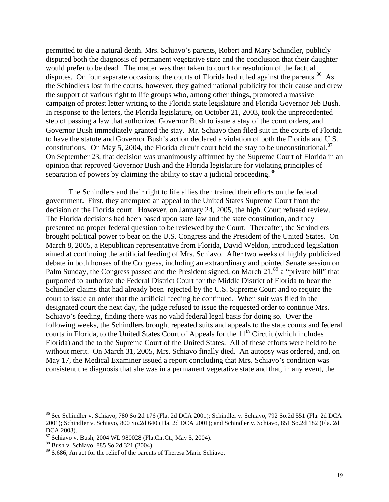permitted to die a natural death. Mrs. Schiavo's parents, Robert and Mary Schindler, publicly disputed both the diagnosis of permanent vegetative state and the conclusion that their daughter would prefer to be dead. The matter was then taken to court for resolution of the factual disputes. On four separate occasions, the courts of Florida had ruled against the parents.<sup>[86](#page-19-0)</sup> As the Schindlers lost in the courts, however, they gained national publicity for their cause and drew the support of various right to life groups who, among other things, promoted a massive campaign of protest letter writing to the Florida state legislature and Florida Governor Jeb Bush. In response to the letters, the Florida legislature, on October 21, 2003, took the unprecedented step of passing a law that authorized Governor Bush to issue a stay of the court orders, and Governor Bush immediately granted the stay. Mr. Schiavo then filed suit in the courts of Florida to have the statute and Governor Bush's action declared a violation of both the Florida and U.S. constitutions. On May 5, 2004, the Florida circuit court held the stay to be unconstitutional. $^{87}$  $^{87}$  $^{87}$ On September 23, that decision was unanimously affirmed by the Supreme Court of Florida in an opinion that reproved Governor Bush and the Florida legislature for violating principles of separation of powers by claiming the ability to stay a judicial proceeding.<sup>[88](#page-19-2)</sup>

 The Schindlers and their right to life allies then trained their efforts on the federal government. First, they attempted an appeal to the United States Supreme Court from the decision of the Florida court. However, on January 24, 2005, the high. Court refused review. The Florida decisions had been based upon state law and the state constitution, and they presented no proper federal question to be reviewed by the Court. Thereafter, the Schindlers brought political power to bear on the U.S. Congress and the President of the United States. On March 8, 2005, a Republican representative from Florida, David Weldon, introduced legislation aimed at continuing the artificial feeding of Mrs. Schiavo. After two weeks of highly publicized debate in both houses of the Congress, including an extraordinary and pointed Senate session on Palm Sunday, the Congress passed and the President signed, on March  $21<sup>89</sup>$  $21<sup>89</sup>$  $21<sup>89</sup>$  a "private bill" that purported to authorize the Federal District Court for the Middle District of Florida to hear the Schindler claims that had already been rejected by the U.S. Supreme Court and to require the court to issue an order that the artificial feeding be continued. When suit was filed in the designated court the next day, the judge refused to issue the requested order to continue Mrs. Schiavo's feeding, finding there was no valid federal legal basis for doing so. Over the following weeks, the Schindlers brought repeated suits and appeals to the state courts and federal courts in Florida, to the United States Court of Appeals for the  $11<sup>th</sup>$  Circuit (which includes Florida) and the to the Supreme Court of the United States. All of these efforts were held to be without merit. On March 31, 2005, Mrs. Schiavo finally died. An autopsy was ordered, and, on May 17, the Medical Examiner issued a report concluding that Mrs. Schiavo's condition was consistent the diagnosis that she was in a permanent vegetative state and that, in any event, the

<span id="page-19-0"></span><sup>86</sup> See Schindler v. Schiavo, 780 So.2d 176 (Fla. 2d DCA 2001); Schindler v. Schiavo, 792 So.2d 551 (Fla. 2d DCA 2001); Schindler v. Schiavo, 800 So.2d 640 (Fla. 2d DCA 2001); and Schindler v. Schiavo, 851 So.2d 182 (Fla. 2d DCA 2003).

<span id="page-19-1"></span><sup>87</sup> Schiavo v. Bush, 2004 WL 980028 (Fla.Cir.Ct., May 5, 2004).

<span id="page-19-2"></span><sup>88</sup> Bush v. Schiavo, 885 So.2d 321 (2004).

<span id="page-19-3"></span><sup>&</sup>lt;sup>89</sup> S.686, An act for the relief of the parents of Theresa Marie Schiavo.